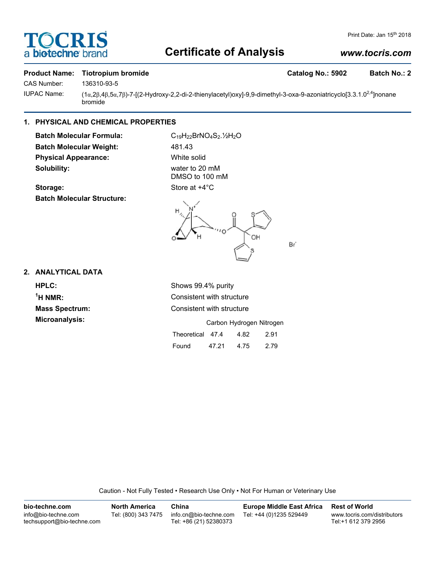# **TOCRIS** a biotechne b

# **Certificate of Analysis**

## *www.tocris.com*

#### **Product Name: Tiotropium bromide Catalog No.: 5902 Batch No.: 2**

CAS Number: 136310-93-5

IUPAC Name: (1α,2β,4β,5α,7β)-7-[(2-Hydroxy-2,2-di-2-thienylacetyl)oxy]-9,9-dimethyl-3-oxa-9-azoniatricyclo[3.3.1.0<sup>2,4</sup>]nonane bromide

## **1. PHYSICAL AND CHEMICAL PROPERTIES**

**Batch Molecular Formula:** C<sub>19</sub>H<sub>22</sub>BrNO<sub>4</sub>S<sub>2</sub>.<sup>1</sup>/<sub>2</sub>O Batch Molecular Weight: 481.43 **Physical Appearance:** White solid **Solubility:** water to 20 mM

DMSO to 100 mM





Br'

#### **2. ANALYTICAL DATA**

**HPLC:** Shows 99.4% purity  $<sup>1</sup>H NMR$ :</sup> **Microanalysis:** 

**Consistent with structure Mass Spectrum:** Consistent with structure

|                  |       | Carbon Hydrogen Nitrogen |      |
|------------------|-------|--------------------------|------|
| Theoretical 47.4 |       | 4.82                     | 2.91 |
| Found            | 47.21 | 4.75                     | 2.79 |

Caution - Not Fully Tested • Research Use Only • Not For Human or Veterinary Use

| bio-techne.com                                    | <b>North America</b> | China                                            | Europe Middle East Africa | <b>Rest of World</b>                               |
|---------------------------------------------------|----------------------|--------------------------------------------------|---------------------------|----------------------------------------------------|
| info@bio-techne.com<br>techsupport@bio-techne.com | Tel: (800) 343 7475  | info.cn@bio-techne.com<br>Tel: +86 (21) 52380373 | Tel: +44 (0)1235 529449   | www.tocris.com/distributors<br>Tel:+1 612 379 2956 |